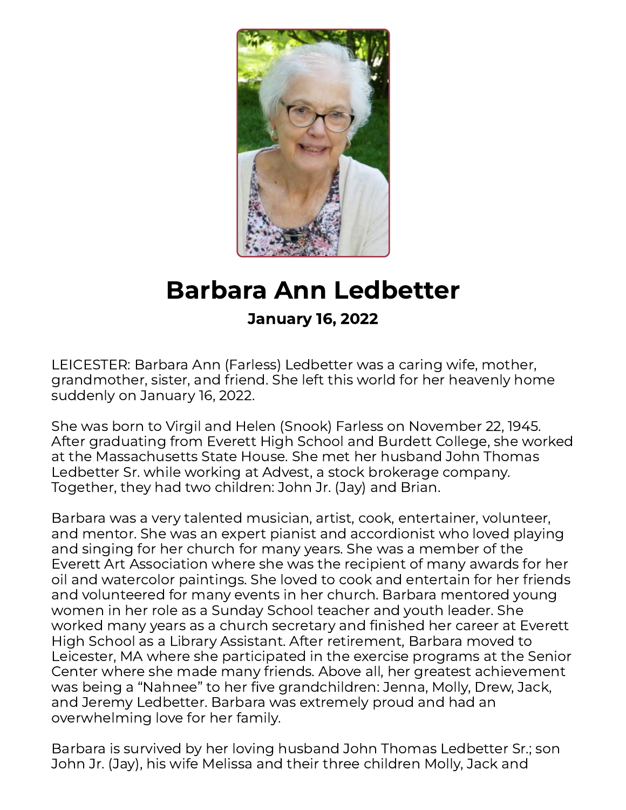

## Barbara Ann Ledbetter January 16, 2022

LEICESTER: Barbara Ann (Farless) Ledbetter was a caring wife, mother, grandmother, sister, and friend. She left this world for her heavenly home suddenly on January 16, 2022.

She was born to Virgil and Helen (Snook) Farless on November 22, 1945. After graduating from Everett High School and Burdett College, she worked at the Massachusetts State House. She met her husband John Thomas Ledbetter Sr. while working at Advest, a stock brokerage company. Together, they had two children: John Jr. (Jay) and Brian.

Barbara was a very talented musician, artist, cook, entertainer, volunteer, and mentor. She was an expert pianist and accordionist who loved playing and singing for her church for many years. She was a member of the Everett Art Association where she was the recipient of many awards for her oil and watercolor paintings. She loved to cook and entertain for her friends and volunteered for many events in her church. Barbara mentored young women in her role as a Sunday School teacher and youth leader. She worked many years as a church secretary and finished her career at Everett High School as a Library Assistant. After retirement, Barbara moved to Leicester, MA where she participated in the exercise programs at the Senior Center where she made many friends. Above all, her greatest achievement was being a "Nahnee" to her five grandchildren: Jenna, Molly, Drew, Jack, and Jeremy Ledbetter. Barbara was extremely proud and had an overwhelming love for her family.

Barbara is survived by her loving husband John Thomas Ledbetter Sr.; son John Jr. (Jay), his wife Melissa and their three children Molly, Jack and